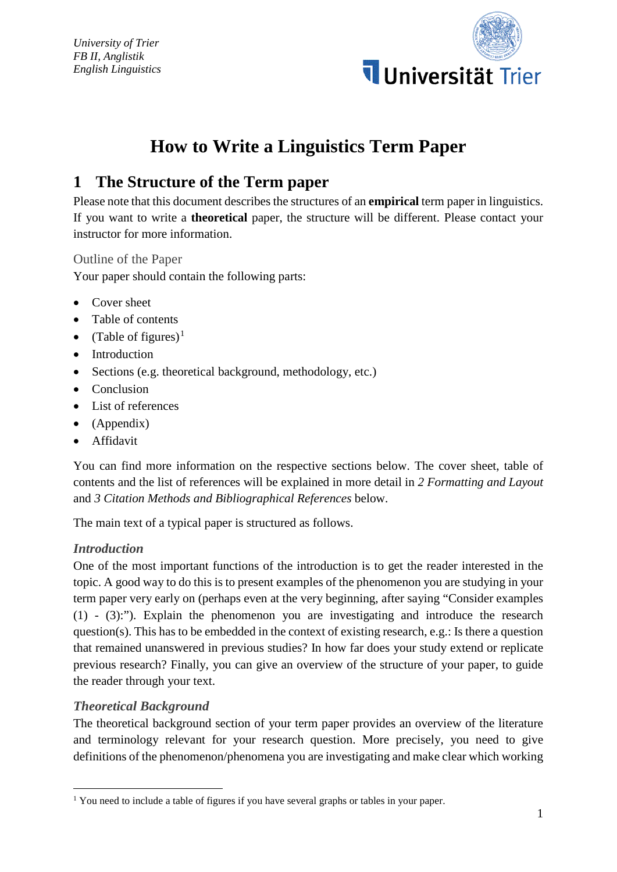

# **How to Write a Linguistics Term Paper**

## **1 The Structure of the Term paper**

Please note that this document describes the structures of an **empirical** term paper in linguistics. If you want to write a **theoretical** paper, the structure will be different. Please contact your instructor for more information.

Outline of the Paper

Your paper should contain the following parts:

- Cover sheet
- Table of contents
- (Table of figures)<sup>[1](#page-0-0)</sup>
- Introduction
- Sections (e.g. theoretical background, methodology, etc.)
- Conclusion
- List of references
- (Appendix)
- Affidavit

You can find more information on the respective sections below. The cover sheet, table of contents and the list of references will be explained in more detail in *2 Formatting and Layout* and *3 Citation Methods and Bibliographical References* below.

The main text of a typical paper is structured as follows.

### *Introduction*

One of the most important functions of the introduction is to get the reader interested in the topic. A good way to do this is to present examples of the phenomenon you are studying in your term paper very early on (perhaps even at the very beginning, after saying "Consider examples (1) - (3):"). Explain the phenomenon you are investigating and introduce the research question(s). This has to be embedded in the context of existing research, e.g.: Is there a question that remained unanswered in previous studies? In how far does your study extend or replicate previous research? Finally, you can give an overview of the structure of your paper, to guide the reader through your text.

### *Theoretical Background*

The theoretical background section of your term paper provides an overview of the literature and terminology relevant for your research question. More precisely, you need to give definitions of the phenomenon/phenomena you are investigating and make clear which working

<span id="page-0-0"></span><sup>&</sup>lt;sup>1</sup> You need to include a table of figures if you have several graphs or tables in your paper.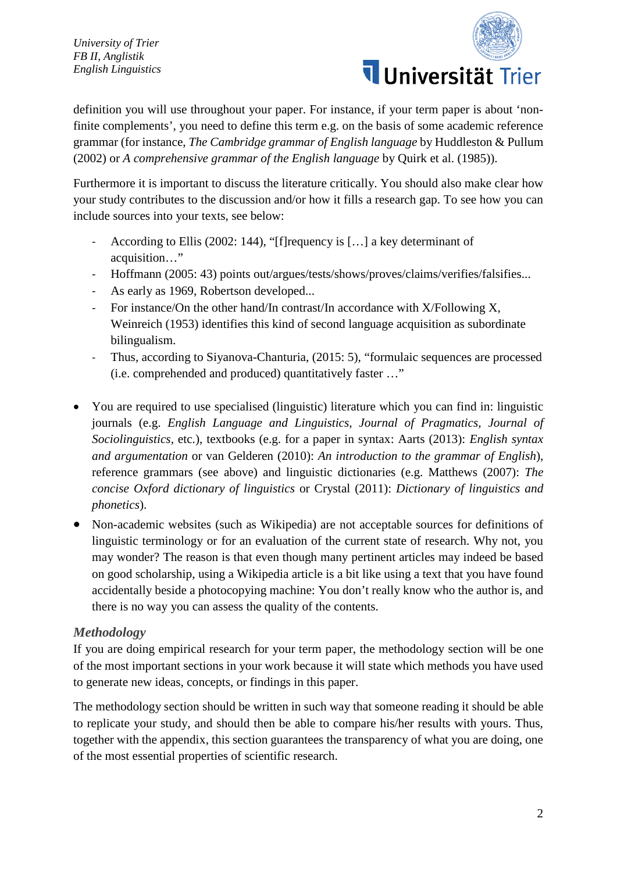

definition you will use throughout your paper. For instance, if your term paper is about 'nonfinite complements', you need to define this term e.g. on the basis of some academic reference grammar (for instance, *The Cambridge grammar of English language* by Huddleston & Pullum (2002) or *A comprehensive grammar of the English language* by Quirk et al. (1985)).

Furthermore it is important to discuss the literature critically. You should also make clear how your study contributes to the discussion and/or how it fills a research gap. To see how you can include sources into your texts, see below:

- According to Ellis (2002: 144), "[f]requency is […] a key determinant of acquisition…"
- Hoffmann (2005: 43) points out/argues/tests/shows/proves/claims/verifies/falsifies...
- As early as 1969, Robertson developed...
- For instance/On the other hand/In contrast/In accordance with X/Following X, Weinreich (1953) identifies this kind of second language acquisition as subordinate bilingualism.
- Thus, according to Siyanova-Chanturia, (2015: 5), "formulaic sequences are processed (i.e. comprehended and produced) quantitatively faster …"
- You are required to use specialised (linguistic) literature which you can find in: linguistic journals (e.g. *English Language and Linguistics, Journal of Pragmatics, Journal of Sociolinguistics,* etc.), textbooks (e.g. for a paper in syntax: Aarts (2013): *English syntax and argumentation* or van Gelderen (2010): *An introduction to the grammar of English*), reference grammars (see above) and linguistic dictionaries (e.g. Matthews (2007): *The concise Oxford dictionary of linguistics* or Crystal (2011): *Dictionary of linguistics and phonetics*).
- Non-academic websites (such as Wikipedia) are not acceptable sources for definitions of linguistic terminology or for an evaluation of the current state of research. Why not, you may wonder? The reason is that even though many pertinent articles may indeed be based on good scholarship, using a Wikipedia article is a bit like using a text that you have found accidentally beside a photocopying machine: You don't really know who the author is, and there is no way you can assess the quality of the contents.

### *Methodology*

If you are doing empirical research for your term paper, the methodology section will be one of the most important sections in your work because it will state which methods you have used to generate new ideas, concepts, or findings in this paper.

The methodology section should be written in such way that someone reading it should be able to replicate your study, and should then be able to compare his/her results with yours. Thus, together with the appendix, this section guarantees the transparency of what you are doing, one of the most essential properties of scientific research.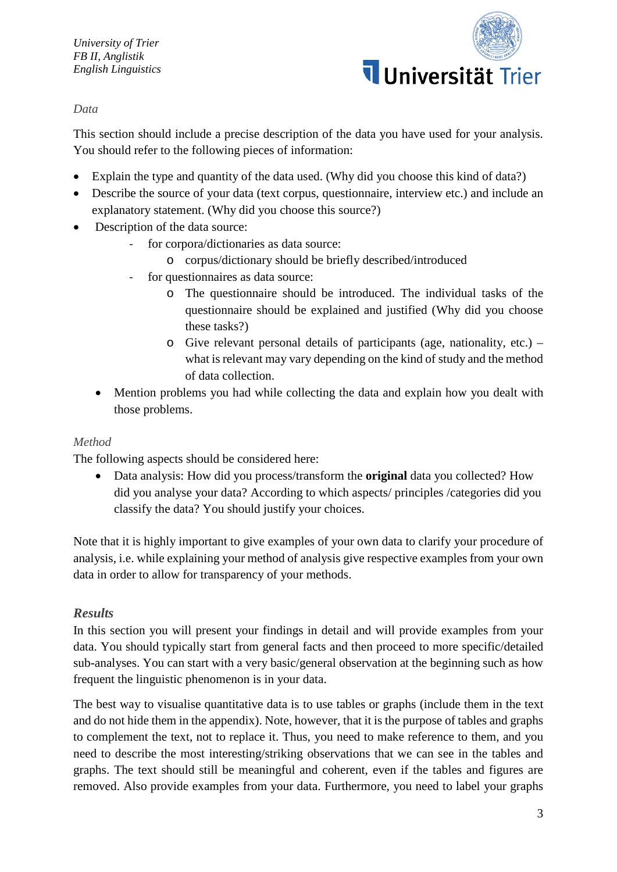

### *Data*

This section should include a precise description of the data you have used for your analysis. You should refer to the following pieces of information:

- Explain the type and quantity of the data used. (Why did you choose this kind of data?)
- Describe the source of your data (text corpus, questionnaire, interview etc.) and include an explanatory statement. (Why did you choose this source?)
- Description of the data source:
	- for corpora/dictionaries as data source:
		- o corpus/dictionary should be briefly described/introduced
	- for questionnaires as data source:
		- o The questionnaire should be introduced. The individual tasks of the questionnaire should be explained and justified (Why did you choose these tasks?)
		- o Give relevant personal details of participants (age, nationality, etc.) what is relevant may vary depending on the kind of study and the method of data collection.
	- Mention problems you had while collecting the data and explain how you dealt with those problems.

#### *Method*

The following aspects should be considered here:

• Data analysis: How did you process/transform the **original** data you collected? How did you analyse your data? According to which aspects/ principles /categories did you classify the data? You should justify your choices.

Note that it is highly important to give examples of your own data to clarify your procedure of analysis, i.e. while explaining your method of analysis give respective examples from your own data in order to allow for transparency of your methods.

#### *Results*

In this section you will present your findings in detail and will provide examples from your data. You should typically start from general facts and then proceed to more specific/detailed sub-analyses. You can start with a very basic/general observation at the beginning such as how frequent the linguistic phenomenon is in your data.

The best way to visualise quantitative data is to use tables or graphs (include them in the text and do not hide them in the appendix). Note, however, that it is the purpose of tables and graphs to complement the text, not to replace it. Thus, you need to make reference to them, and you need to describe the most interesting/striking observations that we can see in the tables and graphs. The text should still be meaningful and coherent, even if the tables and figures are removed. Also provide examples from your data. Furthermore, you need to label your graphs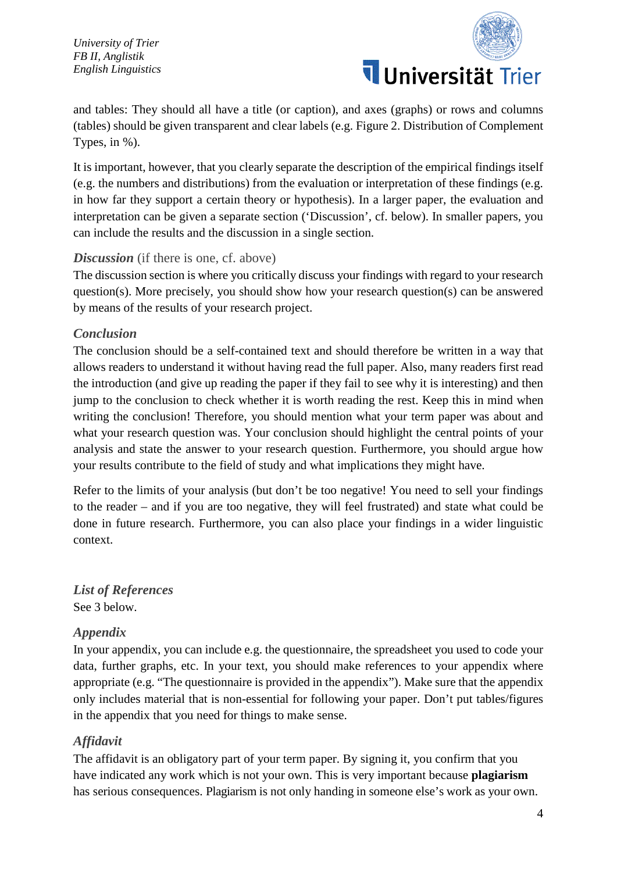

and tables: They should all have a title (or caption), and axes (graphs) or rows and columns (tables) should be given transparent and clear labels (e.g. Figure 2. Distribution of Complement Types, in %).

It is important, however, that you clearly separate the description of the empirical findings itself (e.g. the numbers and distributions) from the evaluation or interpretation of these findings (e.g. in how far they support a certain theory or hypothesis). In a larger paper, the evaluation and interpretation can be given a separate section ('Discussion', cf. below). In smaller papers, you can include the results and the discussion in a single section.

#### *Discussion* (if there is one, cf. above)

The discussion section is where you critically discuss your findings with regard to your research question(s). More precisely, you should show how your research question(s) can be answered by means of the results of your research project.

### *Conclusion*

The conclusion should be a self-contained text and should therefore be written in a way that allows readers to understand it without having read the full paper. Also, many readers first read the introduction (and give up reading the paper if they fail to see why it is interesting) and then jump to the conclusion to check whether it is worth reading the rest. Keep this in mind when writing the conclusion! Therefore, you should mention what your term paper was about and what your research question was. Your conclusion should highlight the central points of your analysis and state the answer to your research question. Furthermore, you should argue how your results contribute to the field of study and what implications they might have.

Refer to the limits of your analysis (but don't be too negative! You need to sell your findings to the reader – and if you are too negative, they will feel frustrated) and state what could be done in future research. Furthermore, you can also place your findings in a wider linguistic context.

*List of References* See 3 below.

### *Appendix*

In your appendix, you can include e.g. the questionnaire, the spreadsheet you used to code your data, further graphs, etc. In your text, you should make references to your appendix where appropriate (e.g. "The questionnaire is provided in the appendix"). Make sure that the appendix only includes material that is non-essential for following your paper. Don't put tables/figures in the appendix that you need for things to make sense.

### *Affidavit*

The affidavit is an obligatory part of your term paper. By signing it, you confirm that you have indicated any work which is not your own. This is very important because **plagiarism** has serious consequences. Plagiarism is not only handing in someone else's work as your own.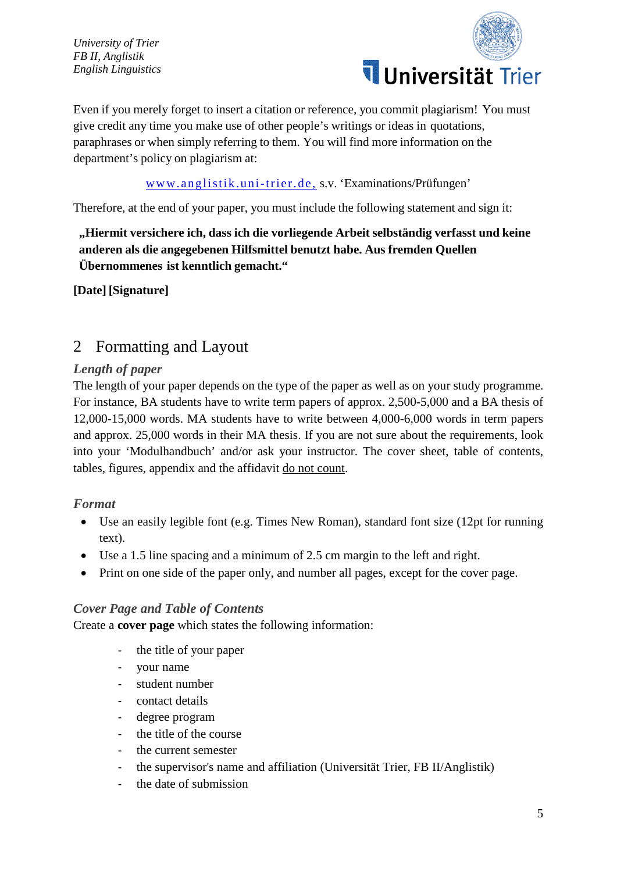

Even if you merely forget to insert a citation or reference, you commit plagiarism! You must give credit any time you make use of other people's writings or ideas in quotations, paraphrases or when simply referring to them. You will find more information on the department's policy on plagiarism at:

[www.anglistik.uni-trier.de,](http://www.anglistik.uni-trier.de,/) s.v. 'Examinations/Prüfungen'

Therefore, at the end of your paper, you must include the following statement and sign it:

**"Hiermit versichere ich, dass ich die vorliegende Arbeit selbständig verfasst und keine anderen als die angegebenen Hilfsmittel benutzt habe. Aus fremden Quellen Übernommenes ist kenntlich gemacht."**

**[Date] [Signature]**

## 2 Formatting and Layout

### *Length of paper*

The length of your paper depends on the type of the paper as well as on your study programme. For instance, BA students have to write term papers of approx. 2,500-5,000 and a BA thesis of 12,000-15,000 words. MA students have to write between 4,000-6,000 words in term papers and approx. 25,000 words in their MA thesis. If you are not sure about the requirements, look into your 'Modulhandbuch' and/or ask your instructor. The cover sheet, table of contents, tables, figures, appendix and the affidavit do not count.

### *Format*

- Use an easily legible font (e.g. Times New Roman), standard font size (12pt for running text).
- Use a 1.5 line spacing and a minimum of 2.5 cm margin to the left and right.
- Print on one side of the paper only, and number all pages, except for the cover page.

### *Cover Page and Table of Contents*

Create a **cover page** which states the following information:

- the title of your paper
- your name
- student number
- contact details
- degree program
- the title of the course
- the current semester
- the supervisor's name and affiliation (Universität Trier, FB II/Anglistik)
- the date of submission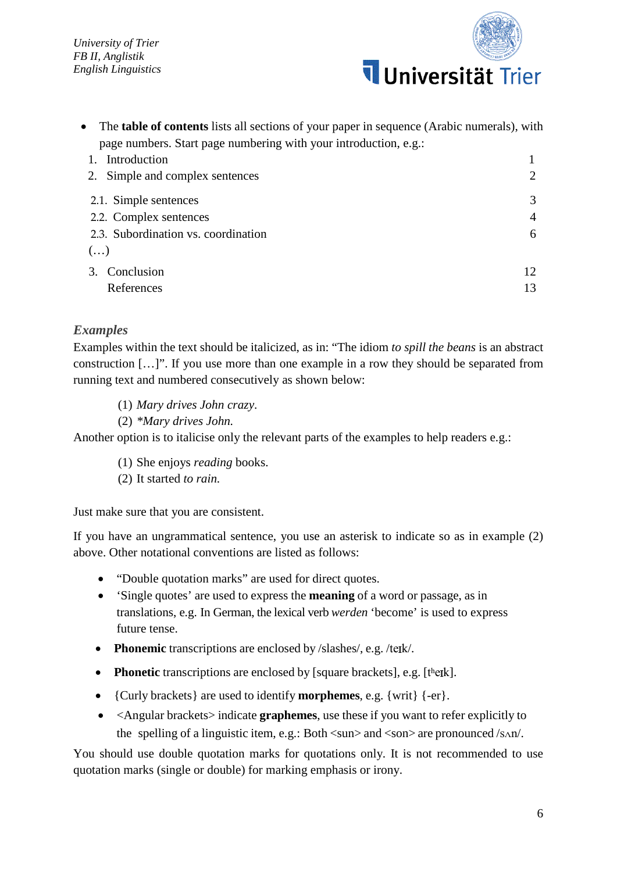

| • The <b>table of contents</b> lists all sections of your paper in sequence (Arabic numerals), with |
|-----------------------------------------------------------------------------------------------------|
| page numbers. Start page numbering with your introduction, e.g.:                                    |

| Introduction<br>1.                  |                |
|-------------------------------------|----------------|
| 2. Simple and complex sentences     | 2              |
| 2.1. Simple sentences               | 3              |
| 2.2. Complex sentences              | $\overline{4}$ |
| 2.3. Subordination vs. coordination | 6              |
| $\left( \ldots \right)$             |                |
| Conclusion<br>3.                    | 12             |
| References                          | 13             |

### *Examples*

Examples within the text should be italicized, as in: "The idiom *to spill the beans* is an abstract construction […]". If you use more than one example in a row they should be separated from running text and numbered consecutively as shown below:

(1) *Mary drives John crazy*.

(2) *\*Mary drives John.*

Another option is to italicise only the relevant parts of the examples to help readers e.g.:

(1) She enjoys *reading* books.

(2) It started *to rain.*

Just make sure that you are consistent.

If you have an ungrammatical sentence, you use an asterisk to indicate so as in example (2) above. Other notational conventions are listed as follows:

- "Double quotation marks" are used for direct quotes.
- 'Single quotes' are used to express the **meaning** of a word or passage, as in translations, e.g. In German, the lexical verb *werden* 'become' is used to express future tense.
- **Phonemic** transcriptions are enclosed by /slashes/, e.g. /teIk/.
- **Phonetic** transcriptions are enclosed by [square brackets], e.g. [then **k**].
- {Curly brackets} are used to identify **morphemes**, e.g. {writ} {-er}.
- <Angular brackets> indicate **graphemes**, use these if you want to refer explicitly to the spelling of a linguistic item, e.g.: Both  $\langle \sin \rangle$  and  $\langle \sin \rangle$  are pronounced  $\langle \sin \rangle$ .

You should use double quotation marks for quotations only. It is not recommended to use quotation marks (single or double) for marking emphasis or irony.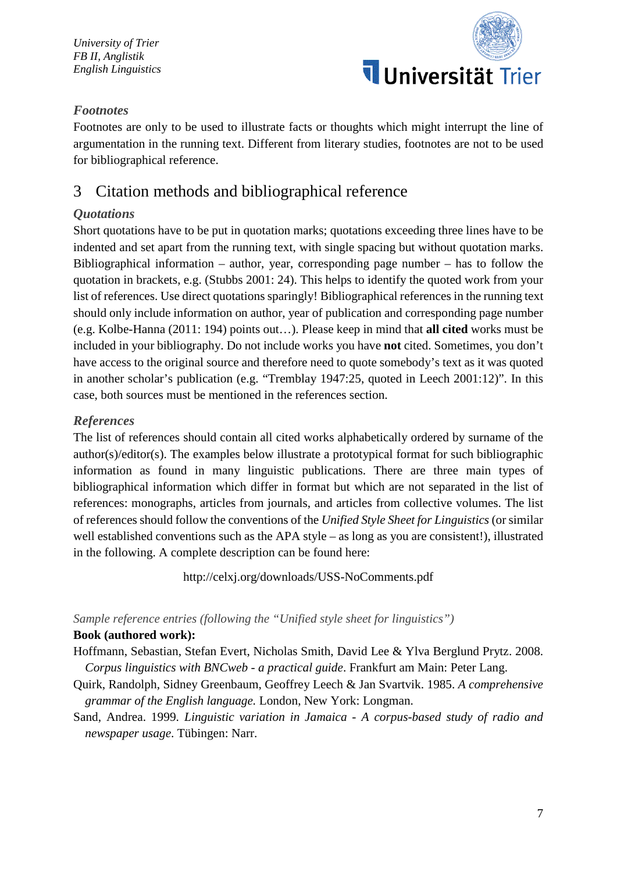

### *Footnotes*

Footnotes are only to be used to illustrate facts or thoughts which might interrupt the line of argumentation in the running text. Different from literary studies, footnotes are not to be used for bibliographical reference.

## 3 Citation methods and bibliographical reference

### *Quotations*

Short quotations have to be put in quotation marks; quotations exceeding three lines have to be indented and set apart from the running text, with single spacing but without quotation marks. Bibliographical information – author, year, corresponding page number – has to follow the quotation in brackets, e.g. (Stubbs 2001: 24). This helps to identify the quoted work from your list of references. Use direct quotations sparingly! Bibliographical references in the running text should only include information on author, year of publication and corresponding page number (e.g. Kolbe-Hanna (2011: 194) points out…). Please keep in mind that **all cited** works must be included in your bibliography. Do not include works you have **not** cited. Sometimes, you don't have access to the original source and therefore need to quote somebody's text as it was quoted in another scholar's publication (e.g. "Tremblay 1947:25, quoted in Leech 2001:12)". In this case, both sources must be mentioned in the references section.

### *References*

The list of references should contain all cited works alphabetically ordered by surname of the author(s)/editor(s). The examples below illustrate a prototypical format for such bibliographic information as found in many linguistic publications. There are three main types of bibliographical information which differ in format but which are not separated in the list of references: monographs, articles from journals, and articles from collective volumes. The list of references should follow the conventions of the *Unified Style Sheet for Linguistics* (or similar well established conventions such as the APA style – as long as you are consistent!), illustrated in the following. A complete description can be found here:

http://celxj.org/downloads/USS-NoComments.pdf

#### *Sample reference entries (following the "Unified style sheet for linguistics")*

#### **Book (authored work):**

Hoffmann, Sebastian, Stefan Evert, Nicholas Smith, David Lee & Ylva Berglund Prytz. 2008. *Corpus linguistics with BNCweb - a practical guide*. Frankfurt am Main: Peter Lang.

- Quirk, Randolph, Sidney Greenbaum, Geoffrey Leech & Jan Svartvik. 1985. *A comprehensive grammar of the English language.* London, New York: Longman.
- Sand, Andrea. 1999. *Linguistic variation in Jamaica - A corpus-based study of radio and newspaper usage*. Tübingen: Narr.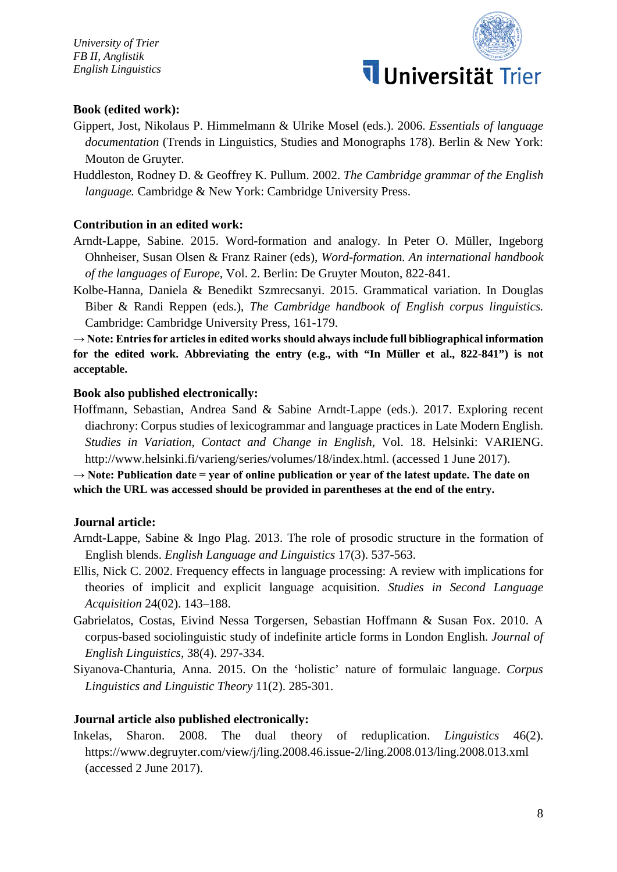

#### **Book (edited work):**

- Gippert, Jost, Nikolaus P. Himmelmann & Ulrike Mosel (eds.). 2006. *Essentials of language documentation* (Trends in Linguistics, Studies and Monographs 178). Berlin & New York: Mouton de Gruyter.
- Huddleston, Rodney D. & Geoffrey K. Pullum. 2002. *The Cambridge grammar of the English language.* Cambridge & New York: Cambridge University Press.

#### **Contribution in an edited work:**

- Arndt-Lappe, Sabine. 2015. Word-formation and analogy. In Peter O. Müller, Ingeborg Ohnheiser, Susan Olsen & Franz Rainer (eds), *Word-formation. An international handbook of the languages of Europe*, Vol. 2. Berlin: De Gruyter Mouton, 822-841.
- Kolbe-Hanna, Daniela & Benedikt Szmrecsanyi. 2015. Grammatical variation. In Douglas Biber & Randi Reppen (eds.), *The Cambridge handbook of English corpus linguistics.* Cambridge: Cambridge University Press, 161-179.

**→ Note: Entries for articles in edited works should always include full bibliographical information for the edited work. Abbreviating the entry (e.g., with "In Müller et al., 822-841") is not acceptable.**

#### **Book also published electronically:**

Hoffmann, Sebastian, Andrea Sand & Sabine Arndt-Lappe (eds.). 2017. Exploring recent diachrony: Corpus studies of lexicogrammar and language practices in Late Modern English. *Studies in Variation, Contact and Change in English*, Vol. 18. Helsinki: VARIENG. http://www.helsinki.fi/varieng/series/volumes/18/index.html. (accessed 1 June 2017).

**→ Note: Publication date = year of online publication or year of the latest update. The date on**  which the URL was accessed should be provided in parentheses at the end of the entry.

#### **Journal article:**

- Arndt-Lappe, Sabine & Ingo Plag. 2013. The role of prosodic structure in the formation of English blends. *English Language and Linguistics* 17(3). 537-563.
- Ellis, Nick C. 2002. Frequency effects in language processing: A review with implications for theories of implicit and explicit language acquisition. *Studies in Second Language Acquisition* 24(02). 143–188.
- Gabrielatos, Costas, Eivind Nessa Torgersen, Sebastian Hoffmann & Susan Fox. 2010. A corpus-based sociolinguistic study of indefinite article forms in London English. *Journal of English Linguistics*, 38(4). 297-334.
- Siyanova-Chanturia, Anna. 2015. On the 'holistic' nature of formulaic language. *Corpus Linguistics and Linguistic Theory* 11(2). 285-301.

#### **Journal article also published electronically:**

Inkelas, Sharon. 2008. The dual theory of reduplication. *Linguistics* 46(2). https://www.degruyter.com/view/j/ling.2008.46.issue-2/ling.2008.013/ling.2008.013.xml (accessed 2 June 2017).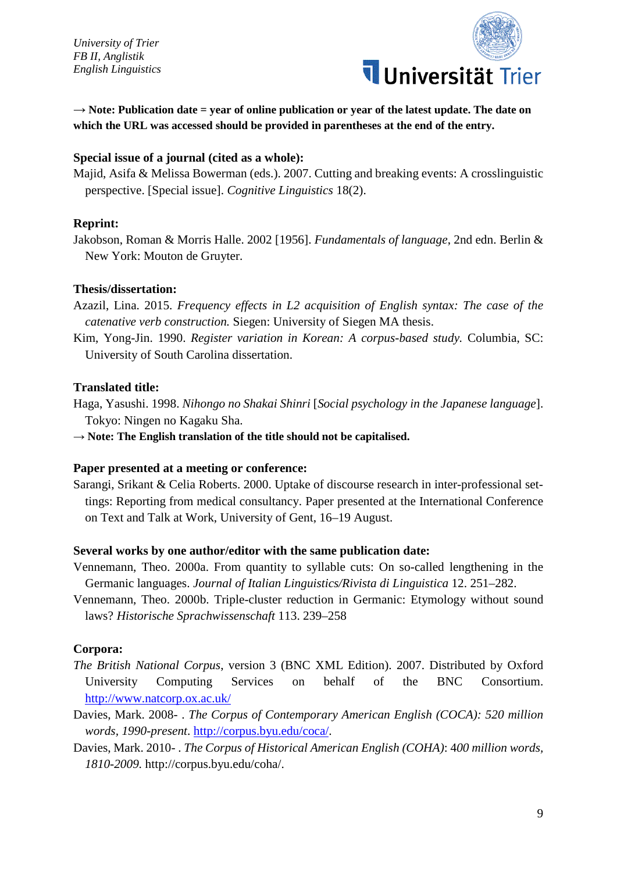

 $\rightarrow$  **Note: Publication date = year of online publication or year of the latest update. The date on** which the URL was accessed should be provided in parentheses at the end of the entry.

#### **Special issue of a journal (cited as a whole):**

Majid, Asifa & Melissa Bowerman (eds.). 2007. Cutting and breaking events: A crosslinguistic perspective. [Special issue]. *Cognitive Linguistics* 18(2).

#### **Reprint:**

Jakobson, Roman & Morris Halle. 2002 [1956]. *Fundamentals of language*, 2nd edn. Berlin & New York: Mouton de Gruyter.

#### **Thesis/dissertation:**

Azazil, Lina. 2015. *Frequency effects in L2 acquisition of English syntax: The case of the catenative verb construction.* Siegen: University of Siegen MA thesis.

Kim, Yong-Jin. 1990. *Register variation in Korean: A corpus-based study.* Columbia, SC: University of South Carolina dissertation.

#### **Translated title:**

Haga, Yasushi. 1998. *Nihongo no Shakai Shinri* [*Social psychology in the Japanese language*]. Tokyo: Ningen no Kagaku Sha.

**→ Note: The English translation of the title should not be capitalised.** 

#### **Paper presented at a meeting or conference:**

Sarangi, Srikant & Celia Roberts. 2000. Uptake of discourse research in inter-professional settings: Reporting from medical consultancy. Paper presented at the International Conference on Text and Talk at Work, University of Gent, 16–19 August.

#### **Several works by one author/editor with the same publication date:**

- Vennemann, Theo. 2000a. From quantity to syllable cuts: On so-called lengthening in the Germanic languages. *Journal of Italian Linguistics/Rivista di Linguistica* 12. 251–282.
- Vennemann, Theo. 2000b. Triple-cluster reduction in Germanic: Etymology without sound laws? *Historische Sprachwissenschaft* 113. 239–258

#### **Corpora:**

- *The British National Corpus*, version 3 (BNC XML Edition). 2007. Distributed by Oxford University Computing Services on behalf of the BNC Consortium. <http://www.natcorp.ox.ac.uk/>
- Davies, Mark. 2008- . *The Corpus of Contemporary American English (COCA): 520 million words, 1990-present*. [http://corpus.byu.edu/coca/.](http://corpus.byu.edu/coca/)
- Davies, Mark. 2010- . *The Corpus of Historical American English (COHA)*: 4*00 million words, 1810-2009.* http://corpus.byu.edu/coha/.